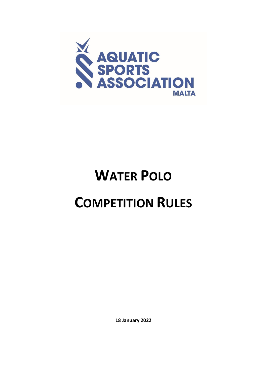

# **WATER POLO COMPETITION RULES**

**18 January 2022**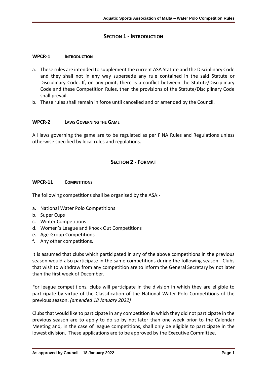# **SECTION 1 - INTRODUCTION**

## **WPCR-1 INTRODUCTION**

- a. These rules are intended to supplement the current ASA Statute and the Disciplinary Code and they shall not in any way supersede any rule contained in the said Statute or Disciplinary Code. If, on any point, there is a conflict between the Statute/Disciplinary Code and these Competition Rules, then the provisions of the Statute/Disciplinary Code shall prevail.
- b. These rules shall remain in force until cancelled and or amended by the Council.

## **WPCR-2 LAWS GOVERNING THE GAME**

All laws governing the game are to be regulated as per FINA Rules and Regulations unless otherwise specified by local rules and regulations.

# **SECTION 2 - FORMAT**

## **WPCR-11 COMPETITIONS**

The following competitions shall be organised by the ASA:-

- a. National Water Polo Competitions
- b. Super Cups
- c. Winter Competitions
- d. Women's League and Knock Out Competitions
- e. Age-Group Competitions
- f. Any other competitions.

It is assumed that clubs which participated in any of the above competitions in the previous season would also participate in the same competitions during the following season. Clubs that wish to withdraw from any competition are to inform the General Secretary by not later than the first week of December.

For league competitions, clubs will participate in the division in which they are eligible to participate by virtue of the Classification of the National Water Polo Competitions of the previous season. *(amended 18 January 2022)*

Clubs that would like to participate in any competition in which they did not participate in the previous season are to apply to do so by not later than one week prior to the Calendar Meeting and, in the case of league competitions, shall only be eligible to participate in the lowest division. These applications are to be approved by the Executive Committee.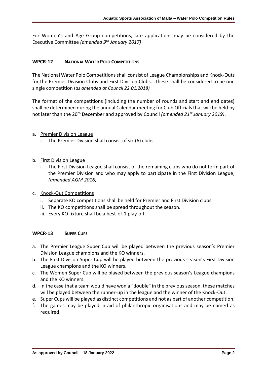For Women's and Age Group competitions, late applications may be considered by the Executive Committee *(amended 9th January 2017)*

# **WPCR-12 NATIONAL WATER POLO COMPETITIONS**

The National Water Polo Competitions shall consist of League Championships and Knock-Outs for the Premier Division Clubs and First Division Clubs. These shall be considered to be one single competition (*as amended at Council 22.01.2018)*

The format of the competitions (including the number of rounds and start and end dates) shall be determined during the annual Calendar meeting for Club Officials that will be held by not later than the 20th December and approved by Council *(amended 21st January 2019)*.

# a. Premier Division League

i. The Premier Division shall consist of six (6) clubs.

# b. First Division League

- i. The First Division League shall consist of the remaining clubs who do not form part of the Premier Division and who may apply to participate in the First Division League; *(amended AGM 2016)*
- c. Knock-Out Competitions
	- i. Separate KO competitions shall be held for Premier and First Division clubs.
	- ii. The KO competitions shall be spread throughout the season.
	- iii. Every KO fixture shall be a best-of-1 play-off.

## **WPCR-13 SUPER CUPS**

- a. The Premier League Super Cup will be played between the previous season's Premier Division League champions and the KO winners.
- b. The First Division Super Cup will be played between the previous season's First Division League champions and the KO winners.
- c. The Women Super Cup will be played between the previous season's League champions and the KO winners.
- d. In the case that a team would have won a "double" in the previous season, these matches will be played between the runner-up in the league and the winner of the Knock-Out.
- e. Super Cups will be played as distinct competitions and not as part of another competition.
- f. The games may be played in aid of philanthropic organisations and may be named as required.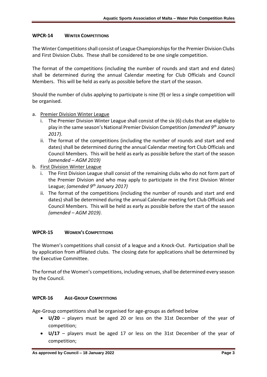## **WPCR-14 WINTER COMPETITIONS**

The Winter Competitions shall consist of League Championships for the Premier Division Clubs and First Division Clubs. These shall be considered to be one single competition.

The format of the competitions (including the number of rounds and start and end dates) shall be determined during the annual Calendar meeting for Club Officials and Council Members. This will be held as early as possible before the start of the season.

Should the number of clubs applying to participate is nine (9) or less a single competition will be organised.

## a. Premier Division Winter League

- i. The Premier Division Winter League shall consist of the six (6) clubs that are eligible to play in the same season's National Premier Division Competition *(amended 9th January 2017)*.
- ii. The format of the competitions (including the number of rounds and start and end dates) shall be determined during the annual Calendar meeting fort Club Officials and Council Members. This will be held as early as possible before the start of the season *(amended – AGM 2019)*
- b. First Division Winter League
	- i. The First Division League shall consist of the remaining clubs who do not form part of the Premier Division and who may apply to participate in the First Division Winter League; *(amended 9th January 2017)*
	- ii. The format of the competitions (including the number of rounds and start and end dates) shall be determined during the annual Calendar meeting fort Club Officials and Council Members. This will be held as early as possible before the start of the season *(amended – AGM 2019)*.

## **WPCR-15 WOMEN'S COMPETITIONS**

The Women's competitions shall consist of a league and a Knock-Out. Participation shall be by application from affiliated clubs. The closing date for applications shall be determined by the Executive Committee.

The format of the Women's competitions, including venues, shall be determined every season by the Council.

## **WPCR-16 AGE-GROUP COMPETITIONS**

Age-Group competitions shall be organised for age-groups as defined below

- **U/20** players must be aged 20 or less on the 31st December of the year of competition;
- **U/17** players must be aged 17 or less on the 31st December of the year of competition;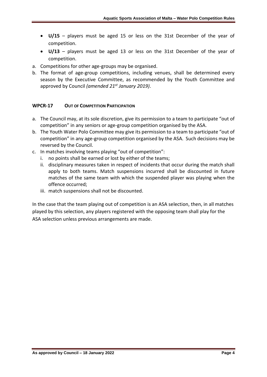- **U/15**  players must be aged 15 or less on the 31st December of the year of competition.
- **U/13**  players must be aged 13 or less on the 31st December of the year of competition.
- a. Competitions for other age-groups may be organised.
- b. The format of age-group competitions, including venues, shall be determined every season by the Executive Committee, as recommended by the Youth Committee and approved by Council *(amended 21st January 2019)*.

# **WPCR-17 OUT OF COMPETITION PARTICIPATION**

- a. The Council may, at its sole discretion, give its permission to a team to participate "out of competition" in any seniors or age-group competition organised by the ASA.
- b. The Youth Water Polo Committee may give its permission to a team to participate "out of competition" in any age-group competition organised by the ASA. Such decisions may be reversed by the Council.
- c. In matches involving teams playing "out of competition":
	- i. no points shall be earned or lost by either of the teams;
	- ii. disciplinary measures taken in respect of incidents that occur during the match shall apply to both teams. Match suspensions incurred shall be discounted in future matches of the same team with which the suspended player was playing when the offence occurred;
	- iii. match suspensions shall not be discounted.

In the case that the team playing out of competition is an ASA selection, then, in all matches played by this selection, any players registered with the opposing team shall play for the ASA selection unless previous arrangements are made.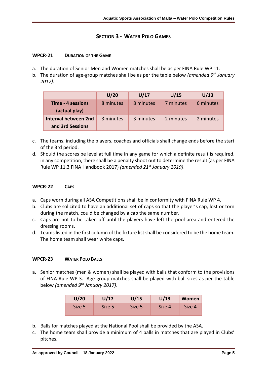# **SECTION 3 - WATER POLO GAMES**

## **WPCR-21 DURATION OF THE GAME**

- a. The duration of Senior Men and Women matches shall be as per FINA Rule WP 11.
- b. The duration of age-group matches shall be as per the table below *(amended 9th January 2017)*.

|                                          | U/20      | U/17      | U/15      | U/13      |
|------------------------------------------|-----------|-----------|-----------|-----------|
| Time - 4 sessions<br>(actual play)       | 8 minutes | 8 minutes | 7 minutes | 6 minutes |
| Interval between 2nd<br>and 3rd Sessions | 3 minutes | 3 minutes | 2 minutes | 2 minutes |

- c. The teams, including the players, coaches and officials shall change ends before the start of the 3rd period.
- d. Should the scores be level at full time in any game for which a definite result is required, in any competition, there shall be a penalty shoot out to determine the result (as per FINA Rule WP 11.3 FINA Handbook 2017) *(amended 21st January 2019)*.

## **WPCR-22 CAPS**

- a. Caps worn during all ASA Competitions shall be in conformity with FINA Rule WP 4.
- b. Clubs are solicited to have an additional set of caps so that the player's cap, lost or torn during the match, could be changed by a cap the same number.
- c. Caps are not to be taken off until the players have left the pool area and entered the dressing rooms.
- d. Teams listed in the first column of the fixture list shall be considered to be the home team. The home team shall wear white caps.

## **WPCR-23 WATER POLO BALLS**

a. Senior matches (men & women) shall be played with balls that conform to the provisions of FINA Rule WP 3. Age-group matches shall be played with ball sizes as per the table below *(amended 9th January 2017)*.

| U/20   | U/17   | U/15   | U/13   | Women  |
|--------|--------|--------|--------|--------|
| Size 5 | Size 5 | Size 5 | Size 4 | Size 4 |

- b. Balls for matches played at the National Pool shall be provided by the ASA.
- c. The home team shall provide a minimum of 4 balls in matches that are played in Clubs' pitches.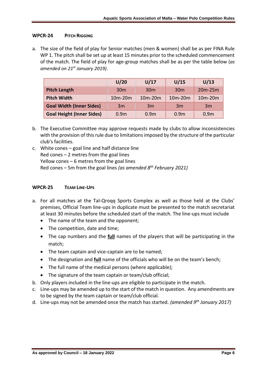## **WPCR-24 PITCH RIGGING**

a. The size of the field of play for Senior matches (men & women) shall be as per FINA Rule WP 1. The pitch shall be set up at least 15 minutes prior to the scheduled commencement of the match. The field of play for age-group matches shall be as per the table below (*as amended on 21st January 2019)*.

|                                  | U/20             | U/17             | U/15                             | U/13             |
|----------------------------------|------------------|------------------|----------------------------------|------------------|
| <b>Pitch Length</b>              | 30 <sub>m</sub>  | 30 <sub>m</sub>  | 30 <sub>m</sub>                  | $20m-25m$        |
| <b>Pitch Width</b>               | $10m-20m$        | $10m-20m$        | 10 <sub>m</sub> -20 <sub>m</sub> | $10m-20m$        |
| <b>Goal Width (Inner Sides)</b>  | 3m               | 3m               | 3m                               | 3m               |
| <b>Goal Height (Inner Sides)</b> | 0.9 <sub>m</sub> | 0.9 <sub>m</sub> | 0.9 <sub>m</sub>                 | 0.9 <sub>m</sub> |

- b. The Executive Committee may approve requests made by clubs to allow inconsistencies with the provision of this rule due to limitations imposed by the structure of the particular club's facilities.
- c. White cones goal line and half distance line Red cones – 2 metres from the goal lines Yellow cones – 6 metres from the goal lines Red cones – 5m from the goal lines *(as amended 8th February 2021)*

## **WPCR-25 TEAM LINE-UPS**

- a. For all matches at the Tal-Qroqq Sports Complex as well as those held at the Clubs' premises, Official Team line-ups in duplicate must be presented to the match secretariat at least 30 minutes before the scheduled start of the match. The line-ups must include
	- The name of the team and the opponent;
	- The competition, date and time;
	- The cap numbers and the **full** names of the players that will be participating in the match;
	- The team captain and vice-captain are to be named;
	- The designation and **full** name of the officials who will be on the team's bench;
	- The full name of the medical persons (where applicable);
	- The signature of the team captain or team/club official;
- b. Only players included in the line-ups are eligible to participate in the match.
- c. Line-ups may be amended up to the start of the match in question. Any amendments are to be signed by the team captain or team/club official.
- d. Line-ups may not be amended once the match has started. *(amended 9th January 2017)*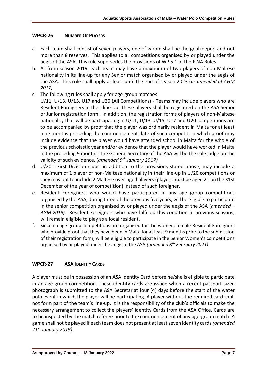# **WPCR-26 NUMBER OF PLAYERS**

- a. Each team shall consist of seven players, one of whom shall be the goalkeeper, and not more than 8 reserves. This applies to all competitions organised by or played under the aegis of the ASA. This rule supersedes the provisions of WP 5.1 of the FINA Rules.
- b. As from season 2019, each team may have a maximum of two players of non-Maltese nationality in its line-up for any Senior match organised by or played under the aegis of the ASA. This rule shall apply at least until the end of season 2023 (*as amended at AGM 2017)*
- c. The following rules shall apply for age-group matches:

U/11, U/13, U/15, U17 and U20 (All Competitions) - Teams may include players who are Resident Foreigners in their line-up. These players shall be registered on the ASA Senior or Junior registration form. In addition, the registration forms of players of non-Maltese nationality that will be participating in U/11, U/13, U/15, U17 and U20 competitions are to be accompanied by proof that the player was ordinarily resident in Malta for at least nine months preceding the commencement date of such competition which proof may include evidence that the player would have attended school in Malta for the whole of the previous scholastic year and/or evidence that the player would have worked in Malta in the preceding 9 months. The General Secretary of the ASA will be the sole judge on the validity of such evidence. (*amended 9 th January 2017)*

- d. U/20 First Division clubs, in addition to the provisions stated above, may include a maximum of 1 player of non-Maltese nationality in their line-up in U/20 competitions or they may opt to include 2 Maltese over-aged players (players must be aged 21 on the 31st December of the year of competition) instead of such foreigner.
- e. Resident Foreigners, who would have participated in any age group competitions organised by the ASA, during three of the previous five years, will be eligible to participate in the senior competition organised by or played under the aegis of the ASA (*amended – AGM 2019).* Resident Foreigners who have fulfilled this condition in previous seasons, will remain eligible to play as a local resident.
- f. Since no age-group competitions are organised for the women, female Resident Foreigners who provide proof that they have been in Malta for at least 9 months prior to the submission of their registration form, will be eligible to participate in the Senior Women's competitions organised by or played under the aegis of the ASA *(amended 8th February 2021)*

# **WPCR-27 ASA IDENTITY CARDS**

A player must be in possession of an ASA Identity Card before he/she is eligible to participate in an age-group competition. These identity cards are issued when a recent passport-sized photograph is submitted to the ASA Secretariat four (4) days before the start of the water polo event in which the player will be participating. A player without the required card shall not form part of the team's line-up. It is the responsibility of the club's officials to make the necessary arrangement to collect the players' Identity Cards from the ASA Office. Cards are to be inspected by the match referee prior to the commencement of any age-group match. A game shall not be played if each team does not present at least seven identity cards *(amended 21st January 2019)*.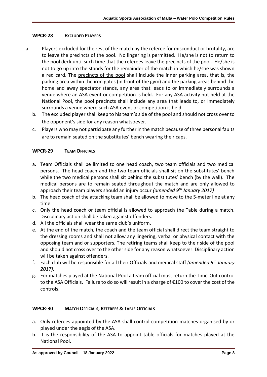# **WPCR-28 EXCLUDED PLAYERS**

- a. Players excluded for the rest of the match by the referee for misconduct or brutality, are to leave the precincts of the pool. No lingering is permitted. He/she is not to return to the pool deck until such time that the referees leave the precincts of the pool. He/she is not to go up into the stands for the remainder of the match in which he/she was shown a red card. The precincts of the pool shall include the inner parking area, that is, the parking area within the iron gates (in front of the gym) and the parking areas behind the home and away spectator stands, any area that leads to or immediately surrounds a venue where an ASA event or competition is held. For any ASA activity not held at the National Pool, the pool precincts shall include any area that leads to, or immediately surrounds a venue where such ASA event or competition is held
	- b. The excluded player shall keep to his team's side of the pool and should not cross over to the opponent's side for any reason whatsoever.
	- c. Players who may not participate any further in the match because of three personal faults are to remain seated on the substitutes' bench wearing their caps.

# **WPCR-29 TEAM OFFICIALS**

- a. Team Officials shall be limited to one head coach, two team officials and two medical persons. The head coach and the two team officials shall sit on the substitutes' bench while the two medical persons shall sit behind the substitutes' bench (by the wall). The medical persons are to remain seated throughout the match and are only allowed to approach their team players should an injury occur *(amended 9th January 2017)*
- b. The head coach of the attacking team shall be allowed to move to the 5-meter line at any time.
- c. Only the head coach or team official is allowed to approach the Table during a match. Disciplinary action shall be taken against offenders.
- d. All the officials shall wear the same club's uniform.
- e. At the end of the match, the coach and the team official shall direct the team straight to the dressing rooms and shall not allow any lingering, verbal or physical contact with the opposing team and or supporters. The retiring teams shall keep to their side of the pool and should not cross over to the other side for any reason whatsoever. Disciplinary action will be taken against offenders.
- f. Each club will be responsible for all their Officials and medical staff *(amended 9th January 2017)*.
- g. For matches played at the National Pool a team official must return the Time-Out control to the ASA Officials. Failure to do so will result in a charge of €100 to cover the cost of the controls.

# **WPCR-30 MATCH OFFICIALS, REFEREES & TABLE OFFICIALS**

- a. Only referees appointed by the ASA shall control competition matches organised by or played under the aegis of the ASA.
- b. It is the responsibility of the ASA to appoint table officials for matches played at the National Pool.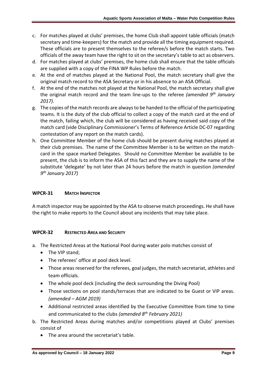- c. For matches played at clubs' premises, the home Club shall appoint table officials (match secretary and time-keepers) for the match and provide all the timing equipment required. These officials are to present themselves to the referee/s before the match starts. Two officials of the away team have the right to sit on the secretary's table to act as observers.
- d. For matches played at clubs' premises, the home club shall ensure that the table officials are supplied with a copy of the FINA WP Rules before the match.
- e. At the end of matches played at the National Pool, the match secretary shall give the original match record to the ASA Secretary or in his absence to an ASA Official.
- f. At the end of the matches not played at the National Pool, the match secretary shall give the original match record and the team line-ups to the referee *(amended 9th January 2017)*.
- g. The copies of the match records are always to be handed to the official of the participating teams. It is the duty of the club official to collect a copy of the match card at the end of the match, failing which, the club will be considered as having received said copy of the match card (vide Disciplinary Commissioner's Terms of Reference Article DC-07 regarding contestation of any report on the match cards).
- h. One Committee Member of the home club should be present during matches played at their club premises. The name of the Committee Member is to be written on the matchcard in the space marked Delegates. Should no Committee Member be available to be present, the club is to inform the ASA of this fact and they are to supply the name of the substitute 'delegate' by not later than 24 hours before the match in question *(amended 9 th January 2017)*

# **WPCR-31 MATCH INSPECTOR**

A match inspector may be appointed by the ASA to observe match proceedings. He shall have the right to make reports to the Council about any incidents that may take place.

# **WPCR-32 RESTRICTED AREA AND SECURITY**

- a. The Restricted Areas at the National Pool during water polo matches consist of
	- The VIP stand;
	- The referees' office at pool deck level.
	- Those areas reserved for the referees, goal judges, the match secretariat, athletes and team officials.
	- The whole pool deck (including the deck surrounding the Diving Pool)
	- Those sections on pool stands/terraces that are indicated to be Guest or VIP areas. *(amended – AGM 2019)*
	- Additional restricted areas identified by the Executive Committee from time to time and communicated to the clubs *(amended 8th February 2021)*
- b. The Restricted Areas during matches and/or competitions played at Clubs' premises consist of
	- The area around the secretariat's table.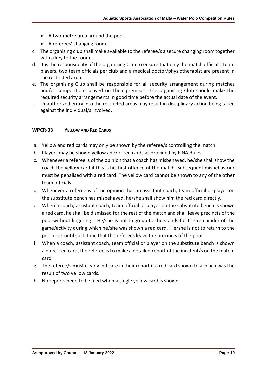- A two-metre area around the pool.
- A referees' changing room.
- c. The organising club shall make available to the referee/s a secure changing room together with a key to the room.
- d. It is the responsibility of the organising Club to ensure that only the match officials, team players, two team officials per club and a medical doctor/physiotherapist are present in the restricted area.
- e. The organising Club shall be responsible for all security arrangement during matches and/or competitions played on their premises. The organising Club should make the required security arrangements in good time before the actual date of the event.
- f. Unauthorized entry into the restricted areas may result in disciplinary action being taken against the individual/s involved.

## **WPCR-33 YELLOW AND RED CARDS**

- a. Yellow and red cards may only be shown by the referee/s controlling the match.
- b. Players may be shown yellow and/or red cards as provided by FINA Rules.
- c. Whenever a referee is of the opinion that a coach has misbehaved, he/she shall show the coach the yellow card if this is his first offence of the match. Subsequent misbehaviour must be penalised with a red card. The yellow card cannot be shown to any of the other team officials.
- d. Whenever a referee is of the opinion that an assistant coach, team official or player on the substitute bench has misbehaved, he/she shall show him the red card directly.
- e. When a coach, assistant coach, team official or player on the substitute bench is shown a red card, he shall be dismissed for the rest of the match and shall leave precincts of the pool without lingering. He/she is not to go up to the stands for the remainder of the game/activity during which he/she was shown a red card. He/she is not to return to the pool deck until such time that the referees leave the precincts of the pool.
- f. When a coach, assistant coach, team official or player on the substitute bench is shown a direct red card, the referee is to make a detailed report of the incident/s on the matchcard.
- g. The referee/s must clearly indicate in their report if a red card shown to a coach was the result of two yellow cards.
- h. No reports need to be filed when a single yellow card is shown.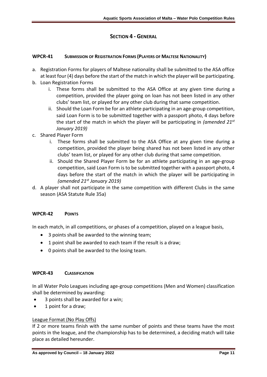# **SECTION 4 - GENERAL**

# **WPCR-41 SUBMISSION OF REGISTRATION FORMS (PLAYERS OF MALTESE NATIONALITY)**

- a. Registration Forms for players of Maltese nationality shall be submitted to the ASA office at least four (4) days before the start of the match in which the player will be participating.
- b. Loan Registration Forms
	- i. These forms shall be submitted to the ASA Office at any given time during a competition, provided the player going on loan has not been listed in any other clubs' team list, or played for any other club during that same competition.
	- ii. Should the Loan Form be for an athlete participating in an age-group competition, said Loan Form is to be submitted together with a passport photo, 4 days before the start of the match in which the player will be participating in *(amended 21st January 2019)*
- c. Shared Player Form
	- i. These forms shall be submitted to the ASA Office at any given time during a competition, provided the player being shared has not been listed in any other clubs' team list, or played for any other club during that same competition.
	- ii. Should the Shared Player Form be for an athlete participating in an age-group competition, said Loan Form is to be submitted together with a passport photo, 4 days before the start of the match in which the player will be participating in *(amended 21st January 2019)*
- d. A player shall not participate in the same competition with different Clubs in the same season (ASA Statute Rule 35a)

## **WPCR-42 POINTS**

In each match, in all competitions, or phases of a competition, played on a league basis,

- 3 points shall be awarded to the winning team;
- 1 point shall be awarded to each team if the result is a draw;
- 0 points shall be awarded to the losing team.

## **WPCR-43 CLASSIFICATION**

In all Water Polo Leagues including age-group competitions (Men and Women) classification shall be determined by awarding:

- 3 points shall be awarded for a win;
- 1 point for a draw;

## League Format (No Play Offs)

If 2 or more teams finish with the same number of points and these teams have the most points in the league, and the championship has to be determined, a deciding match will take place as detailed hereunder.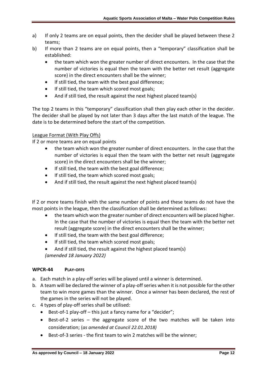- a) If only 2 teams are on equal points, then the decider shall be played between these 2 teams;
- b) If more than 2 teams are on equal points, then a "temporary" classification shall be established:
	- the team which won the greater number of direct encounters. In the case that the number of victories is equal then the team with the better net result (aggregate score) in the direct encounters shall be the winner;
	- If still tied, the team with the best goal difference;
	- If still tied, the team which scored most goals;
	- And if still tied, the result against the next highest placed team(s)

The top 2 teams in this "temporary" classification shall then play each other in the decider. The decider shall be played by not later than 3 days after the last match of the league. The date is to be determined before the start of the competition.

# League Format (With Play Offs)

If 2 or more teams are on equal points

- the team which won the greater number of direct encounters. In the case that the number of victories is equal then the team with the better net result (aggregate score) in the direct encounters shall be the winner;
- If still tied, the team with the best goal difference;
- If still tied, the team which scored most goals;
- And if still tied, the result against the next highest placed team(s)

If 2 or more teams finish with the same number of points and these teams do not have the most points in the league, then the classification shall be determined as follows:

- the team which won the greater number of direct encounters will be placed higher. In the case that the number of victories is equal then the team with the better net result (aggregate score) in the direct encounters shall be the winner;
- If still tied, the team with the best goal difference;
- If still tied, the team which scored most goals;
- And if still tied, the result against the highest placed team(s) *(amended 18 January 2022)*

# **WPCR-44 PLAY-OFFS**

- a. Each match in a play-off series will be played until a winner is determined.
- b. A team will be declared the winner of a play-off series when it is not possible for the other team to win more games than the winner. Once a winner has been declared, the rest of the games in the series will not be played.
- c. 4 types of play-off series shall be utilised:
	- Best-of-1 play-off this just a fancy name for a "decider";
	- Best-of-2 series the aggregate score of the two matches will be taken into consideration; (*as amended at Council 22.01.2018)*
	- Best-of-3 series the first team to win 2 matches will be the winner;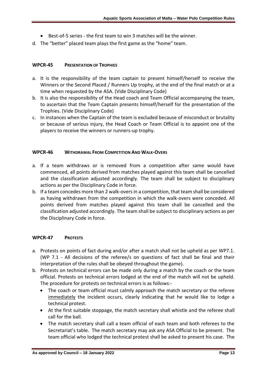- Best-of-5 series the first team to win 3 matches will be the winner.
- d. The "better" placed team plays the first game as the "home" team.

## **WPCR-45 PRESENTATION OF TROPHIES**

- a. It is the responsibility of the team captain to present himself/herself to receive the Winners or the Second Placed / Runners Up trophy, at the end of the final match or at a time when requested by the ASA. (Vide Disciplinary Code)
- b. It is also the responsibility of the Head coach and Team Official accompanying the team, to ascertain that the Team Captain presents himself/herself for the presentation of the Trophies. (Vide Disciplinary Code)
- c. In instances when the Captain of the team is excluded because of misconduct or brutality or because of serious injury, the Head Coach or Team Official is to appoint one of the players to receive the winners or runners-up trophy.

# **WPCR-46 WITHDRAWAL FROM COMPETITION AND WALK-OVERS**

- a. If a team withdraws or is removed from a competition after same would have commenced, all points derived from matches played against this team shall be cancelled and the classification adjusted accordingly. The team shall be subject to disciplinary actions as per the Disciplinary Code in force.
- b. If a team concedes more than 2 walk-overs in a competition, that team shall be considered as having withdrawn from the competition in which the walk-overs were conceded. All points derived from matches played against this team shall be cancelled and the classification adjusted accordingly. The team shall be subject to disciplinary actions as per the Disciplinary Code in force.

## **WPCR-47 PROTESTS**

- a. Protests on points of fact during and/or after a match shall not be upheld as per WP7.1. (WP 7.1 - All decisions of the referee/s on questions of fact shall be final and their interpretation of the rules shall be obeyed throughout the game).
- b. Protests on technical errors can be made only during a match by the coach or the team official. Protests on technical errors lodged at the end of the match will not be upheld. The procedure for protests on technical errors is as follows:-
	- The coach or team official must calmly approach the match secretary or the referee immediately the incident occurs, clearly indicating that he would like to lodge a technical protest.
	- At the first suitable stoppage, the match secretary shall whistle and the referee shall call for the ball.
	- The match secretary shall call a team official of each team and both referees to the Secretariat's table. The match secretary may ask any ASA Official to be present. The team official who lodged the technical protest shall be asked to present his case. The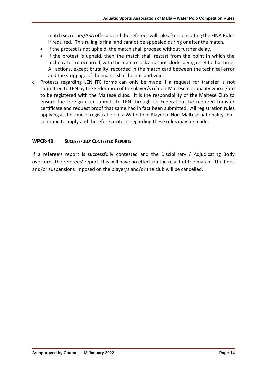match secretary/ASA officials and the referees will rule after consulting the FINA Rules if required. This ruling is final and cannot be appealed during or after the match.

- If the protest is not upheld, the match shall proceed without further delay.
- If the protest is upheld, then the match shall restart from the point in which the technical error occurred, with the match clock and shot-clocks being reset to that time. All actions, except brutality, recorded in the match card between the technical error and the stoppage of the match shall be null and void.
- c. Protests regarding LEN ITC forms can only be made if a request for transfer is not submitted to LEN by the Federation of the player/s of non-Maltese nationality who is/are to be registered with the Maltese clubs. It is the responsibility of the Maltese Club to ensure the foreign club submits to LEN through its Federation the required transfer certificate and request proof that same had in fact been submitted. All registration rules applying at the time of registration of a Water Polo Player of Non-Maltese nationality shall continue to apply and therefore protests regarding these rules may be made.

# **WPCR-48 SUCCESSFULLY CONTESTED REPORTS**

If a referee's report is successfully contested and the Disciplinary / Adjudicating Body overturns the referees' report, this will have no effect on the result of the match. The fines and/or suspensions imposed on the player/s and/or the club will be cancelled.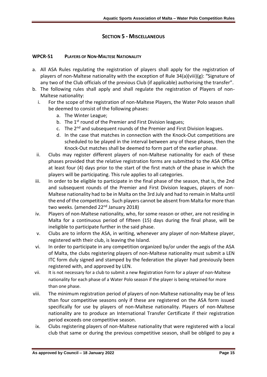# **SECTION 5 - MISCELLANEOUS**

## **WPCR-51 PLAYERS OF NON-MALTESE NATIONALITY**

- a. All ASA Rules regulating the registration of players shall apply for the registration of players of non-Maltese nationality with the exception of Rule 34(a)(viii)(g): "Signature of any two of the Club officials of the previous Club (if applicable) authorising the transfer".
- b. The following rules shall apply and shall regulate the registration of Players of non-Maltese nationality:
	- i. For the scope of the registration of non-Maltese Players, the Water Polo season shall be deemed to consist of the following phases:
		- a. The Winter League;
		- b. The 1<sup>st</sup> round of the Premier and First Division leagues;
		- c. The  $2^{nd}$  and subsequent rounds of the Premier and First Division leagues.
		- d. In the case that matches in connection with the Knock-Out competitions are scheduled to be played in the interval between any of these phases, then the Knock-Out matches shall be deemed to form part of the earlier phase.
	- ii. Clubs may register different players of non-Maltese nationality for each of these phases provided that the relative registration forms are submitted to the ASA Office at least four (4) days prior to the start of the first match of the phase in which the players will be participating. This rule applies to all categories.
	- iii. In order to be eligible to participate in the final phase of the season, that is, the 2nd and subsequent rounds of the Premier and First Division leagues, players of non-Maltese nationality had to be in Malta on the 3rd July and had to remain in Malta until the end of the competitions. Such players cannot be absent from Malta for more than two weeks. (amended 22<sup>nd</sup> January 2018)
	- iv. Players of non-Maltese nationality, who, for some reason or other, are not residing in Malta for a continuous period of fifteen (15) days during the final phase, will be ineligible to participate further in the said phase.
	- v. Clubs are to inform the ASA, in writing, whenever any player of non-Maltese player, registered with their club, is leaving the Island.
	- vi. In order to participate in any competition organized by/or under the aegis of the ASA of Malta, the clubs registering players of non-Maltese nationality must submit a LEN ITC form duly signed and stamped by the federation the player had previously been registered with, and approved by LEN.
- vii. It is not necessary for a club to submit a new Registration Form for a player of non-Maltese nationality for each phase of a Water Polo season if the player is being retained for more than one phase.
- viii. The minimum registration period of players of non-Maltese nationality may be of less than four competitive seasons only if these are registered on the ASA form issued specifically for use by players of non-Maltese nationality. Players of non-Maltese nationality are to produce an International Transfer Certificate if their registration period exceeds one competitive season.
- ix. Clubs registering players of non-Maltese nationality that were registered with a local club that same or during the previous competitive season, shall be obliged to pay a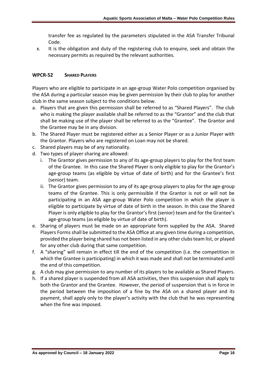transfer fee as regulated by the parameters stipulated in the ASA Transfer Tribunal Code.

x. It is the obligation and duty of the registering club to enquire, seek and obtain the necessary permits as required by the relevant authorities.

# **WPCR-52 SHARED PLAYERS**

Players who are eligible to participate in an age-group Water Polo competition organised by the ASA during a particular season may be given permission by their club to play for another club in the same season subject to the conditions below.

- a. Players that are given this permission shall be referred to as "Shared Players". The club who is making the player available shall be referred to as the "Grantor" and the club that shall be making use of the player shall be referred to as the "Grantee". The Grantor and the Grantee may be in any division.
- b. The Shared Player must be registered either as a Senior Player or as a Junior Player with the Grantor. Players who are registered on Loan may not be shared.
- c. Shared players may be of any nationality.
- d. Two types of player sharing are allowed:
	- i. The Grantor gives permission to any of its age-group players to play for the first team of the Grantee. In this case the Shared Player is only eligible to play for the Grantor's age-group teams (as eligible by virtue of date of birth) and for the Grantee's first (senior) team.
	- ii. The Grantor gives permission to any of its age-group players to play for the age-group teams of the Grantee. This is only permissible if the Grantor is not or will not be participating in an ASA age-group Water Polo competition in which the player is eligible to participate by virtue of date of birth in the season. In this case the Shared Player is only eligible to play for the Grantor's first (senior) team and for the Grantee's age-group teams (as eligible by virtue of date of birth).
- e. Sharing of players must be made on an appropriate form supplied by the ASA. Shared Players Forms shall be submitted to the ASA Office at any given time during a competition, provided the player being shared has not been listed in any other clubs team list, or played for any other club during that same competition.
- f. A "sharing" will remain in effect till the end of the competition (i.e. the competition in which the Grantee is participating) in which it was made and shall not be terminated until the end of this competition.
- g. A club may give permission to any number of its players to be available as Shared Players.
- h. If a shared player is suspended from all ASA activities, then this suspension shall apply to both the Grantor and the Grantee. However, the period of suspension that is in force in the period between the imposition of a fine by the ASA on a shared player and its payment, shall apply only to the player's activity with the club that he was representing when the fine was imposed.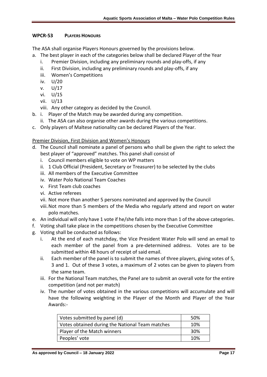# **WPCR-53 PLAYERS HONOURS**

The ASA shall organise Players Honours governed by the provisions below.

- a. The best player in each of the categories below shall be declared Player of the Year
	- i. Premier Division, including any preliminary rounds and play-offs, if any
	- ii. First Division, including any preliminary rounds and play-offs, if any
	- iii. Women's Competitions
	- iv. U/20
	- v. U/17
	- vi. U/15
	- vii. U/13
	- viii. Any other category as decided by the Council.
- b. i. Player of the Match may be awarded during any competition.
	- ii. The ASA can also organise other awards during the various competitions.
- c. Only players of Maltese nationality can be declared Players of the Year.

# Premier Division, First Division and Women's Honours

- d. The Council shall nominate a panel of persons who shall be given the right to select the best player of "approved" matches. This panel shall consist of
	- i. Council members eligible to vote on WP matters
	- ii. 1 Club Official (President, Secretary or Treasurer) to be selected by the clubs
	- iii. All members of the Executive Committee
	- iv. Water Polo National Team Coaches
	- v. First Team club coaches
	- vi. Active referees
	- vii. Not more than another 5 persons nominated and approved by the Council
	- viii.Not more than 5 members of the Media who regularly attend and report on water polo matches.
- e. An individual will only have 1 vote if he/she falls into more than 1 of the above categories.
- f. Voting shall take place in the competitions chosen by the Executive Committee
- g. Voting shall be conducted as follows:
	- i. At the end of each matchday, the Vice President Water Polo will send an email to each member of the panel from a pre-determined address. Votes are to be submitted within 48 hours of receipt of said email.
	- ii. Each member of the panel is to submit the names of three players, giving votes of 5, 3 and 1. Out of these 3 votes, a maximum of 2 votes can be given to players from the same team.
	- iii. For the National Team matches, the Panel are to submit an overall vote for the entire competition (and not per match)
	- iv. The number of votes obtained in the various competitions will accumulate and will have the following weighting in the Player of the Month and Player of the Year Awards:-

| Votes submitted by panel (d)                    | .50% |
|-------------------------------------------------|------|
| Votes obtained during the National Team matches | 10%  |
| Player of the Match winners                     | -30% |
| Peoples' vote                                   | 10%  |